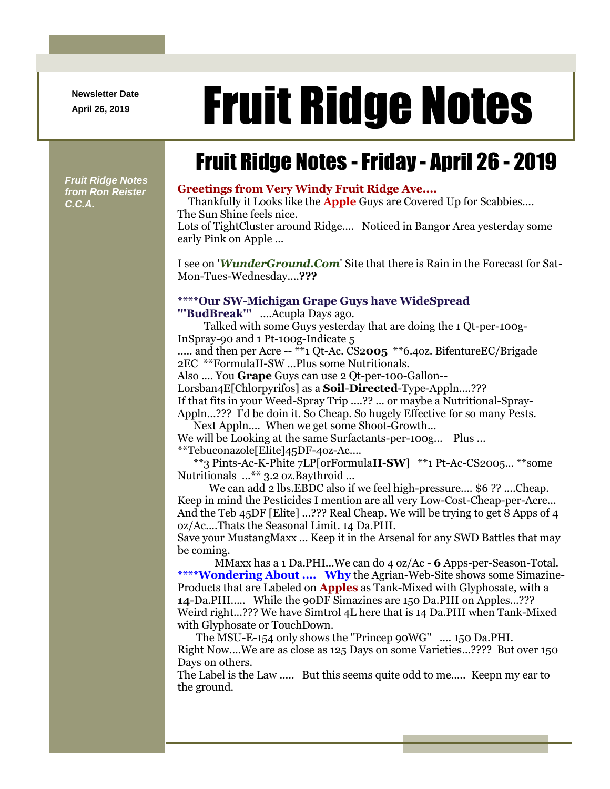**Newsletter Date**

# April 26, 2019 **Fruit Ridge Notes**

## Fruit Ridge Notes -Friday - April 26 - 2019

*Fruit Ridge Notes from Ron Reister C.C.A.*

#### **Greetings from Very Windy Fruit Ridge Ave....**

Thankfully it Looks like the **Apple** Guys are Covered Up for Scabbies.... The Sun Shine feels nice. Lots of TightCluster around Ridge.... Noticed in Bangor Area yesterday some

early Pink on Apple ...

I see on '*WunderGround.Com*' Site that there is Rain in the Forecast for Sat-Mon-Tues-Wednesday....**???**

#### **\*\*\*\*Our SW-Michigan Grape Guys have WideSpread**

**'''BudBreak'''** ....Acupla Days ago.

Talked with some Guys yesterday that are doing the 1 Qt-per-100g-InSpray-90 and 1 Pt-100g-Indicate 5

..... and then per Acre -- \*\*1 Qt-Ac. CS2**005** \*\*6.4oz. BifentureEC/Brigade 2EC \*\*FormulaII-SW ...Plus some Nutritionals.

Also .... You **Grape** Guys can use 2 Qt-per-100-Gallon--

Lorsban4E[Chlorpyrifos] as a **Soil**-**Directed**-Type-Appln....???

If that fits in your Weed-Spray Trip ....?? ... or maybe a Nutritional-Spray-

Appln...??? I'd be doin it. So Cheap. So hugely Effective for so many Pests. Next Appln.... When we get some Shoot-Growth...

We will be Looking at the same Surfactants-per-100g... Plus ... \*\*Tebuconazole[Elite]45DF-4oz-Ac....

\*\*3 Pints-Ac-K-Phite 7LP[orFormula**II-SW**] \*\*1 Pt-Ac-CS2005... \*\*some Nutritionals ...\*\* 3.2 oz.Baythroid ...

We can add 2 lbs.EBDC also if we feel high-pressure.... \$6 ?? ....Cheap. Keep in mind the Pesticides I mention are all very Low-Cost-Cheap-per-Acre... And the Teb 45DF [Elite] ...??? Real Cheap. We will be trying to get 8 Apps of 4 oz/Ac....Thats the Seasonal Limit. 14 Da.PHI.

Save your MustangMaxx ... Keep it in the Arsenal for any SWD Battles that may be coming.

MMaxx has a 1 Da.PHI...We can do 4 oz/Ac - **6** Apps-per-Season-Total. **\*\*\*\*Wondering About .... Why** the Agrian-Web-Site shows some Simazine-Products that are Labeled on **Apples** as Tank-Mixed with Glyphosate, with a **14**-Da.PHI..... While the 90DF Simazines are 150 Da.PHI on Apples...??? Weird right...??? We have Simtrol 4L here that is 14 Da.PHI when Tank-Mixed with Glyphosate or TouchDown.

The MSU-E-154 only shows the ''Princep 90WG'' .... 150 Da.PHI. Right Now....We are as close as 125 Days on some Varieties...???? But over 150 Days on others.

The Label is the Law ..... But this seems quite odd to me..... Keepn my ear to the ground.